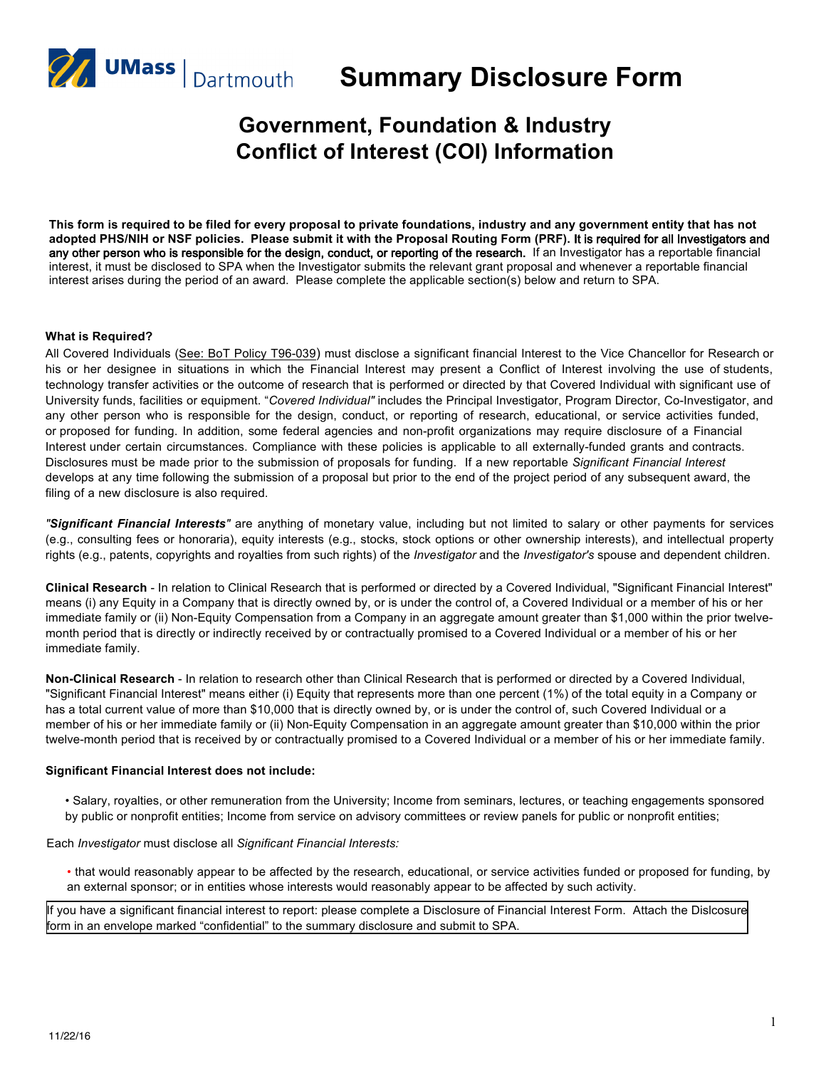

**Summary Disclosure Form**

# **Government, Foundation & Industry Conflict of Interest (COI) Information**

**This form is required to be filed for every proposal to private foundations, industry and any government entity that has not adopted PHS/NIH or NSF policies. Please submit it with the Proposal Routing Form (PRF).** It is required for all Investigators and any other person who is responsible for the design, conduct, or reporting of the research. If an Investigator has a reportable financial interest, it must be disclosed to SPA when the Investigator submits the relevant grant proposal and whenever a reportable financial interest arises during the period of an award. Please complete the applicable section(s) below and return to SPA.

#### **What is Required?**

All Covered Individuals (See: BoT Policy T96-039) must disclose a significant financial Interest to the Vice Chancellor for Research or his or her designee in situations in which the Financial Interest may present a Conflict of Interest involving the use of students, technology transfer activities or the outcome of research that is performed or directed by that Covered Individual with significant use of University funds, facilities or equipment. "*Covered Individual"* includes the Principal Investigator, Program Director, Co-Investigator, and any other person who is responsible for the design, conduct, or reporting of research, educational, or service activities funded, or proposed for funding. In addition, some federal agencies and non-profit organizations may require disclosure of a Financial Interest under certain circumstances. Compliance with these policies is applicable to all externally-funded grants and contracts. Disclosures must be made prior to the submission of proposals for funding. If a new reportable *Significant Financial Interest*  develops at any time following the submission of a proposal but prior to the end of the project period of any subsequent award, the filing of a new disclosure is also required.

*"Significant Financial Interests"* are anything of monetary value, including but not limited to salary or other payments for services (e.g., consulting fees or honoraria), equity interests (e.g., stocks, stock options or other ownership interests), and intellectual property rights (e.g., patents, copyrights and royalties from such rights) of the *Investigator* and the *Investigator's* spouse and dependent children.

**Clinical Research** - In relation to Clinical Research that is performed or directed by a Covered Individual, "Significant Financial Interest" means (i) any Equity in a Company that is directly owned by, or is under the control of, a Covered Individual or a member of his or her immediate family or (ii) Non-Equity Compensation from a Company in an aggregate amount greater than \$1,000 within the prior twelvemonth period that is directly or indirectly received by or contractually promised to a Covered Individual or a member of his or her immediate family.

**Non-Clinical Research** - In relation to research other than Clinical Research that is performed or directed by a Covered Individual, "Significant Financial Interest" means either (i) Equity that represents more than one percent (1%) of the total equity in a Company or has a total current value of more than \$10,000 that is directly owned by, or is under the control of, such Covered Individual or a member of his or her immediate family or (ii) Non-Equity Compensation in an aggregate amount greater than \$10,000 within the prior twelve-month period that is received by or contractually promised to a Covered Individual or a member of his or her immediate family.

#### **Significant Financial Interest does not include:**

• Salary, royalties, or other remuneration from the University; Income from seminars, lectures, or teaching engagements sponsored by public or nonprofit entities; Income from service on advisory committees or review panels for public or nonprofit entities;

Each *Investigator* must disclose all *Significant Financial Interests:*

• that would reasonably appear to be affected by the research, educational, or service activities funded or proposed for funding, by an external sponsor; or in entities whose interests would reasonably appear to be affected by such activity.

If you have a significant financial interest to report: please complete a Disclosure of Financial Interest Form. Attach the Dislcosure form [in an envelope marked "confidential" to the summary disclosure and submit to SPA.](http://www.umassd.edu/media/umassdartmouth/advancedtechnologymanufacturingcenter/institutionalcompliance/DISCLOSURE_OF_FINANCIAL_INTEREST_FORM.docx)